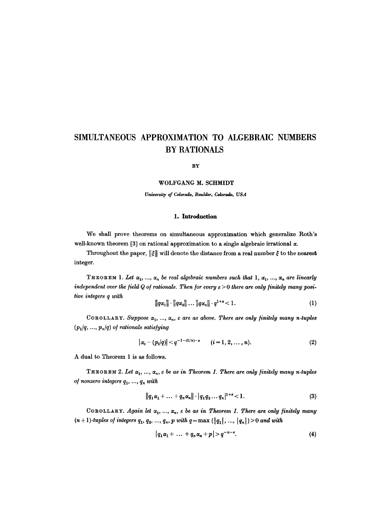# **SIMULTANEOUS APPROXIMATION TO ALGEBRMC NUMBERS BY RATIONALS**

**BY** 

#### WOLFGANG M. SCHMIDT

*University of Colorado, Boulder, Colorado, USA* 

#### **1. Introduction**

We shall prove theorems on simultaneous approximation which generalize Roth's well-known theorem [3] on rational approximation to a single algebraic irrational  $\alpha$ .

Throughout the paper,  $\|\xi\|$  will denote the distance from a real number  $\xi$  to the nearest integer.

THEOREM 1. Let  $\alpha_1, ..., \alpha_n$  be real algebraic numbers such that 1,  $\alpha_1, ..., \alpha_n$  are linearly *independent over the field Q of rationals. Then for every*  $\varepsilon > 0$  *there are only finitely many positive integers q with* 

$$
\|q\alpha_1\| \cdot \|q\alpha_2\| \dots \|q\alpha_n\| \cdot q^{1+s} < 1. \tag{1}
$$

COROLLARY. Suppose  $\alpha_1, ..., \alpha_n$ ,  $\varepsilon$  are as above. There are only finitely many n-tuples  $(p_1/q, ..., p_n/q)$  of rationals satisfying

$$
|\alpha_i - (p_i/q)| < q^{-1-(1/n)-\epsilon} \qquad (i=1,2,\ldots,n).
$$
 (2)

A dual to Theorem 1 is as follows.

THEOREM 2. Let  $\alpha_1, ..., \alpha_n$ ,  $\varepsilon$  be as in Theorem 1. There are only finitely many n-tuples *of nonzero integers*  $q_1, ..., q_n$  with

$$
||q_1\alpha_1 + \ldots + q_n\alpha_n|| \cdot |q_1q_2\ldots q_n|^{1+\epsilon} < 1.
$$
 (3)

COROLLARY. *Again let*  $\alpha_1, ..., \alpha_n$ ,  $\varepsilon$  be as in Theorem 1. There are only finitely many  $r(n+1)$ -tuples of integers  $q_1, q_2, ..., q_n$ , p with  $q = max (\vert q_1 \vert, ..., \vert q_n \vert) > 0$  and with

$$
|q_1\alpha_1+\ldots+q_n\alpha_n+p|>q^{-n-\epsilon}.
$$
 (4)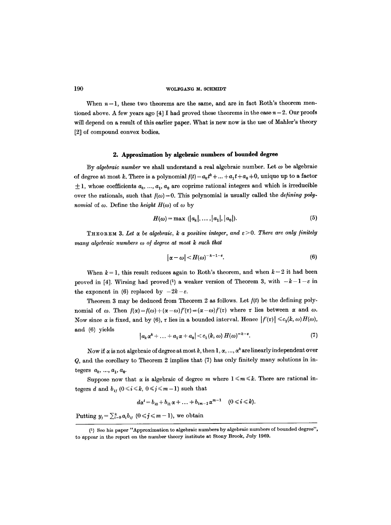When  $n=1$ , these two theorems are the same, and are in fact Roth's theorem mentioned above. A few years ago [4] I had proved these theorems in the case  $n = 2$ . Our proofs will depend on a result of this earlier paper. What is new now is the use of Mahler's theory [2] of compound convex bodies,

#### 2. Approximation by algebraic nnmhers of bounded degree

By *algebraic number* we shall understand a real algebraic number. Let  $\omega$  be algebraic of degree at most k, There is a polynomial  $f(t) = a_k t^k + ... + a_1 t + a_0 \neq 0$ , unique up to a factor  $\pm 1$ , whose coefficients  $a_k, ..., a_1, a_0$  are coprime rational integers and which is irreducible over the rationals, such that  $f(\omega) = 0$ . This polynomial is usually called the *defining polynomial* of  $\omega$ . Define the *height*  $H(\omega)$  of  $\omega$  by

$$
H(\omega) = \max (|a_k|, \ldots, |a_1|, |a_0|). \tag{5}
$$

**THEOREM 3. Let**  $\alpha$  **be algebraic, k a positive integer, and**  $\varepsilon > 0$ **. There are only finitely** *many algebraic numbers*  $\omega$  *of degree at most k such that* 

$$
|\alpha-\omega|
$$

When  $k = 1$ , this result reduces again to Roth's theorem, and when  $k = 2$  it had been proved in [4]. Wirsing had proved(1) a weaker version of Theorem 3, with  $-k-1-\varepsilon$  in the exponent in (6) replaced by  $-2k-\varepsilon$ .

Theorem 3 may be deduced from Theorem 2 as follows. Let *fit)* be the defining polynomial of  $\omega$ . Then  $f(x)=f(\omega)+(x-\omega)f'(\tau)=(\alpha-\omega)f'(\tau)$  where  $\tau$  lies between  $\alpha$  and  $\omega$ . Now since  $\alpha$  is fixed, and by (6),  $\tau$  lies in a bounded interval. Hence  $|f'(\tau)| \leq c_1(k, \omega) H(\omega)$ , and (6) yields

$$
|a_k \alpha^k + \ldots + a_1 \alpha + a_0| < c_1(k, \omega) H(\omega)^{-k - \varepsilon}.\tag{7}
$$

Now if  $\alpha$  is not algebraic of degree at most k, then 1,  $\alpha$ , ...,  $\alpha^k$  are linearly independent over Q, and the corollary to Theorem 2 implies that (7) has only finitely many solutions in integers  $a_k, ..., a_1, a_0$ .

Suppose now that  $\alpha$  is algebraic of degree m where  $1 \leq m \leq k$ . There are rational integers d and  $b_{ij}$  ( $0 \le i \le k$ ,  $0 \le j \le m-1$ ) such that

$$
d\alpha^{i} = b_{i0} + b_{i1}\alpha + \ldots + b_{i m-1}\alpha^{m-1} \quad (0 \leq i \leq k).
$$

Putting  $y_j = \sum_{i=0}^k a_i b_{ij}$   $(0 \le j \le m-1)$ , we obtain

<sup>(1)</sup> See his paper "Approximation to algebraic numbers by algebraic numbers of bounded degree", to appear in the report on the number theory institute at Stony Brook, July 1969.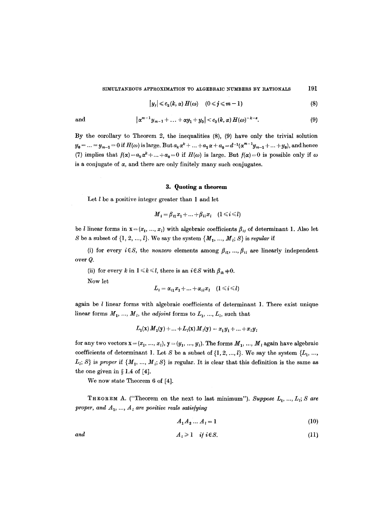SIMULTANEOUS APPROXIMATION TO ALGEBRAIC NUMBERS BY RATIONALS 191

$$
|y_j| \leqslant c_2(k,\alpha) H(\omega) \quad (0 \leqslant j \leqslant m-1)
$$
 (8)

and 
$$
|\alpha^{m-1}y_{m-1} + ... + \alpha y_1 + y_0| < c_3(k, \alpha) H(\omega)^{-k-\epsilon}.
$$
 (9)

By the corollary to Theorem 2, the inequalities (8), (9) have only the trivial solution  $y_0 = ... = y_{m-1} = 0$  if  $H(\omega)$  is large. But  $a_k \alpha^k + ... + a_1 \alpha + a_0 = d^{-1}(\alpha^{m-1}y_{m-1} + ... + y_0)$ , and hence (7) implies that  $f(x) = a_k x^k + ... + a_0 = 0$  if  $H(\omega)$  is large. But  $f(\alpha) = 0$  is possible only if  $\omega$ is a conjugate of  $\alpha$ , and there are only finitely many such conjugates.

### 3. Quoting a theorem

Let  $l$  be a positive integer greater than 1 and let

$$
M_i = \beta_{i1}x_1 + \ldots + \beta_{i l}x_l \quad (1 \leq i \leq l)
$$

be *l* linear forms in  $\mathbf{x} = (x_1, ..., x_l)$  with algebraic coefficients  $\beta_{ij}$  of determinant 1. Also let S be a subset of  $\{1, 2, ..., l\}$ . We say the system  $\{M_1, ..., M_l; S\}$  is *regular* if

(i) for every  $i \in S$ , the *nonzero* elements among  $\beta_{i1}, \ldots, \beta_{i l}$  are linearly independent over Q.

(ii) for every k in  $1 \le k \le l$ , there is an  $i \in S$  with  $\beta_{ik} \ne 0$ .

Now let

$$
L_i = \alpha_{i1}x_1 + \ldots + \alpha_{i l}x_l \quad (1 \leq i \leq l)
$$

again be  $l$  linear forms with algebraic coefficients of determinant 1. There exist unique linear forms  $M_1, ..., M_l$ , the *adjoint* forms to  $L_1, ..., L_l$ , such that

$$
L_1(\mathbf{x}) M_1(\mathbf{y}) + \ldots + L_l(\mathbf{x}) M_l(\mathbf{y}) = x_1 y_1 + \ldots + x_l y_l
$$

for any two vectors  $\mathbf{x} = (x_1, ..., x_i)$ ,  $\mathbf{y} = (y_1, ..., y_i)$ . The forms  $M_1, ..., M_i$  again have algebraic coefficients of determinant 1. Let S be a subset of  $\{1, 2, ..., l\}$ . We say the system  $\{L_1, ..., L_l\}$  $L_i$ ; S} is *proper* if  $\{M_1, ..., M_i, S\}$  is regular. It is clear that this definition is the same as the one given in  $\S 1.4$  of [4].

We now state Theorem 6 of [4].

THEOREM A. ("Theorem on the next to last minimum"). Suppose  $L_1, ..., L_i$ ; S are *proper, and*  $A_1$ *, ...,*  $A_i$  *are positive reals satisfying* 

$$
A_1 A_2 \dots A_l = 1 \tag{10}
$$

$$
and \t A_i \geq 1 \t if i \in S. \t (11)
$$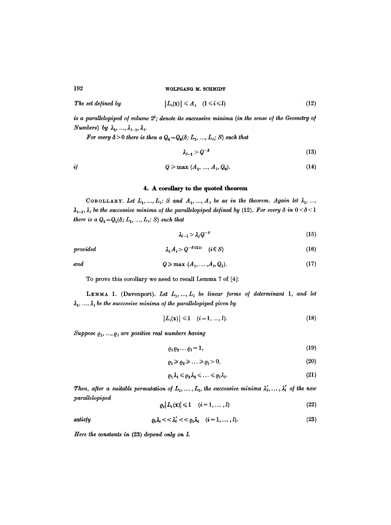The set defined by 
$$
|L_i(\mathbf{x})| \leq A_i \quad (1 \leq i \leq l)
$$
 (12)

is a parallelopiped of volume  $2^l$ ; denote its successive minima (in the sense of the Geometry of *Numbers*) by  $\lambda_1, \ldots, \lambda_{l-1}, \lambda_l$ .

*For every*  $\delta > 0$  *there is then a*  $Q_0 = Q_0(\delta; L_1, ..., L_i; S)$  *such that* 

$$
\lambda_{l-1} > Q^{-\delta} \tag{13}
$$

$$
i j \qquad \qquad Q \geqslant \max \ (A_1, \, \ldots, \, A_i, \, Q_0). \tag{14}
$$

#### 4. A corollary to **the quoted theorem**

COROLLARY. Let  $L_1, ..., L_i$ ; *S* and  $A_1, ..., A_i$  be as in the theorem. Again let  $\lambda_1, ...,$  $\lambda_{l-1}$ ,  $\lambda_l$  *be the successive minima of the parallelopiped defined by* (12). For every  $\delta$  in  $0 < \delta < 1$ *there is a*  $Q_1 = Q_1(\delta; L_1, ..., L_i; S)$  *such that* 

$$
\lambda_{l-1} > \lambda_l Q^{-\delta} \tag{15}
$$

provided 
$$
\lambda_1 A_i > Q^{-\delta/(2l)} \quad (i \in S)
$$
 (16)

$$
q \geqslant \max\ (A_1, \ldots, A_l, Q_1). \tag{17}
$$

To prove this corollary we need to recall Lemma 7 of [4]:

LEMMA 1. (Davenport). Let  $L_1, ..., L_i$  be linear forms of determinant 1, and let  $\lambda_1, \ldots, \lambda_i$  be the successive minima of the parallelopiped given by

$$
|L_i(\mathbf{x})| \leq 1 \quad (i = 1, ..., l). \tag{18}
$$

Suppose  $Q_1, ..., Q_l$  are positive real numbers having

$$
\varrho_1 \varrho_2 \dots \varrho_l = 1,\tag{19}
$$

$$
\varrho_1 \ge \varrho_2 \ge \ldots \ge \varrho_l > 0,\tag{20}
$$

$$
\varrho_1\lambda_1\leqslant\varrho_2\lambda_2\leqslant\ldots\leqslant\varrho_l\lambda_l.\tag{21}
$$

*Then, after a suitable permutation of*  $L_1, \ldots, L_l$ , the successive minima  $\lambda'_1, \ldots, \lambda'_l$  of the new *\_paraUelopiped* 

$$
\varrho_i |L_i(\mathbf{x})| \leq 1 \quad (i=1,\ldots,l) \tag{22}
$$

satisfy 
$$
\varrho_i \lambda_i \lt \lt \lambda'_i \lt \lt \varrho_i \lambda_i \quad (i=1,\ldots,l). \tag{23}
$$

*Here the constants in* (23) *depend only on l.*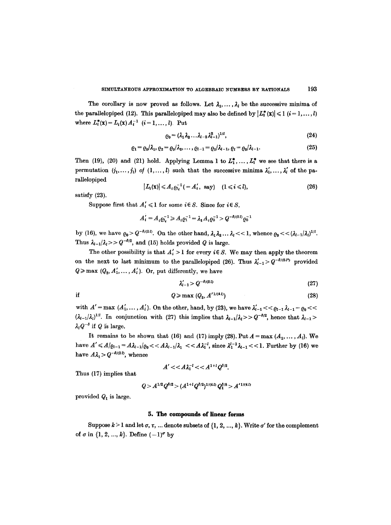The corollary is now proved as follows. Let  $\lambda_1, \ldots, \lambda_l$  be the successive minima of the parallelopiped (12). This parallelopiped may also be defined by  $|L_i^*(\mathbf{x})| \leq 1$  ( $i = 1, ..., l$ ) where  $L_i^*(\mathbf{x}) = L_i(\mathbf{x}) A_i^{-1}$   $(i = 1, ..., l)$ . Put

$$
\varrho_0 = (\lambda_1 \lambda_2 \ldots \lambda_{l-2} \lambda_{l-1}^2)^{1/l}, \tag{24}
$$

$$
\varrho_1 = \varrho_0/\lambda_1, \varrho_2 = \varrho_0/\lambda_2, \ldots, \varrho_{l-1} = \varrho_0/\lambda_{l-1}, \varrho_l = \varrho_0/\lambda_{l-1}.
$$
\n(25)

Then (19), (20) and (21) hold. Applying Lemma 1 to  $L_1^*, \ldots, L_i^*$  we see that there is a permutation  $(j_1, \ldots, j_i)$  of  $(1, \ldots, l)$  such that the successive minima  $\lambda'_1, \ldots, \lambda'_i$  of the parallelopiped

$$
|L_i(\mathbf{x})| \leq A_i \varrho_{i_i}^{-1} (= A_i', \text{ say}) \quad (1 \leq i \leq l), \tag{26}
$$

satisfy (23).

Suppose first that  $A'_i \leq 1$  for some  $i \in S$ . Since for  $i \in S$ ,

$$
A'_{i} = A_{i} \varrho_{i}^{-1} \geq A_{i} \varrho_{1}^{-1} = \lambda_{1} A_{i} \varrho_{0}^{-1} > Q^{-\delta/(2l)} \varrho_{0}^{-1}
$$

by (16), we have  $\varrho_0 > Q^{-\delta/(2l)}$ . On the other hand,  $\lambda_1 \lambda_2 \ldots \lambda_l << 1$ , whence  $\varrho_0 << (\lambda_{l-1}/\lambda_l)^{1/l}$ . Thus  $\lambda_{l-1}/\lambda_l >> Q^{-\delta/2}$ , and (15) holds provided Q is large.

The other possibility is that  $A'_i > 1$  for every  $i \in S$ . We may then apply the theorem on the next to last minimum to the parallelopiped (26). Thus  $\lambda'_{t-1} > Q^{-\delta/(8l^2)}$  provided  $Q \ge \max (Q_2, A'_1, \ldots, A'_l)$ . Or, put differently, we have

$$
\lambda'_{l-1} > Q^{-\delta/(2l)} \tag{27}
$$

if 
$$
Q \geqslant \max (Q_3, A'^{1/(4l)})
$$
 (28)

with  $A' = \max (A'_1, \ldots, A'_l)$ . On the other, hand, by (23), we have  $\lambda'_{i-1} \lt \varphi_{l-1} \lambda_{l-1} = \varrho_0 \lt \varphi_{l-1}$  $(\lambda_{l-1}/\lambda_l)^{1/l}$ . In conjunction with (27) this implies that  $\lambda_{l-1}/\lambda_l >> Q^{-\delta/2}$ , hence that  $\lambda_{l-1} >$  $\lambda_{l}Q^{-\delta}$  if Q is large.

It remains to be shown that (16) and (17) imply (28). Put  $A = \max(A_1, \ldots, A_l)$ . We have  $A' \leq A/e_{l-1} = A\lambda_{l-1}/e_0 << A\lambda_{l-1}/\lambda_1 << A\lambda_1^{-l}$ , since  $\lambda_1^{l-1}\lambda_{l-1} << 1$ . Further by (16) we have  $A\lambda_1 > Q^{-\delta/(2l)}$ , whence

$$
A' \lt \lt A \lambda_1^{-1} \lt \lt A^{1+l} Q^{\delta/2}.
$$

Thus (17) implies that

$$
Q>A^{1/2}Q^{\delta/2}>(A^{1+l}Q^{\delta/2})^{1/(4\,l)}\,Q_1^{\delta/8}>A^{'1/(4\,l)}
$$

provided  $Q_1$  is large.

#### **5. The compounds of linear forms**

Suppose  $k > 1$  and let  $\sigma$ ,  $\tau$ , ... denote subsets of  $\{1, 2, ..., k\}$ . Write  $\sigma'$  for the complement of  $\sigma$  in  $\{1, 2, ..., k\}$ . Define  $(-1)^{\sigma}$  by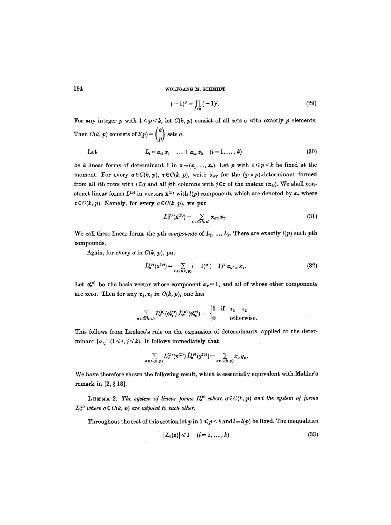$$
(-1)^{\sigma} = \prod_{i \in \sigma} (-1)^{i}.
$$
 (29)

For any integer p with  $1 \leq p \leq k$ , let  $C(k, p)$  consist of all sets  $\sigma$  with exactly p elements. Then  $C(k, p)$  consists of  $l(p) = \binom{k}{p}$  sets  $\sigma$ .

Let 
$$
L_i = \alpha_{i1} x_1 + \ldots + \alpha_{ik} x_k \quad (i = 1, \ldots, k)
$$
 (30)

be *k* linear forms of determinant 1 in  $\mathbf{x}=(x_1, ..., x_k)$ . Let p with  $1 \leq p \leq k$  be fixed at the moment. For every  $\sigma \in C(k, p)$ ,  $\tau \in C(k, p)$ , write  $\alpha_{\sigma \tau}$  for the  $(p \times p)$ -determinant formed from all ith rows with  $i \in \sigma$  and all jth columns with  $j \in \tau$  of the matrix  $(\alpha_{ij})$ . We shall construct linear forms  $L^{(p)}$  in vectors  $\mathbf{x}^{(p)}$  with  $l(p)$  components which are denoted by  $x_{\tau}$  where  $\tau \in C(k, p)$ . Namely, for every  $\sigma \in C(k, p)$ , we put

$$
L_{\sigma}^{(p)}(\mathbf{x}^{(p)}) = \sum_{\tau \in C(k,p)} \alpha_{\sigma \tau} x_{\tau}.
$$
 (31)

We call these linear forms the pth *compounds* of  $L_1, ..., L_k$ . There are exactly  $l(p)$  such pth compounds.

Again, for every  $\sigma$  in  $C(k, p)$ , put

$$
\hat{L}_{\sigma}^{(p)}(\mathbf{x}^{(p)}) = \sum_{\tau \in C(k,p)} (-1)^{\sigma} (-1)^{\tau} \alpha_{\sigma^{\prime} \tau^{\prime}} x_{\tau}.
$$
 (32)

Let  $e_{\tau}^{(p)}$  be the basis vector whose component  $x_{\tau} = 1$ , and all of whose other components are zero. Then for any  $\tau_1$ ,  $\tau_2$  in  $C(k, p)$ , one has

$$
\sum_{\sigma \in C(k,\,p)} L_{\sigma}^{(p)}(\mathbf{e}_{\tau_1}^{(p)}) \hat{L}_{\sigma}^{(p)}(\mathbf{e}_{\tau_2}^{(p)}) = \begin{cases} 1 & \text{if } \tau_1 = \tau_2 \\ 0 & \text{otherwise.} \end{cases}
$$

This follows from Laplace's rule on the expansion of determinants, applied to the determinant  $[\alpha_{ij}]$  ( $1 \leq i, j \leq k$ ). It follows immediately that

$$
\sum_{\sigma \in C(k,p)} L_{\sigma}^{(p)}(\mathbf{x}^{(p)}) \hat{L}_{\sigma}^{(p)}(\mathbf{y}^{(p)}) \equiv \sum_{\sigma \in C(k,p)} x_{\sigma} y_{\sigma}.
$$

We have therefore shown the following result, which is essentially equivalent with Mahler's remark in  $[2, § 18]$ .

LEMMA 2. The system of linear forms  $L_{\sigma}^{(p)}$  where  $\sigma \in C(k, p)$  and the system of forms  $\hat{L}_{\sigma}^{(p)}$  where  $\sigma \in C(k, p)$  are adjoint to each other.

Throughout the rest of this section let p in  $1 \leq p \leq k$  and  $l = l(p)$  be fixed. The inequalities

$$
|L_i(\mathbf{x})| \leq 1 \quad (i=1,\ldots,k) \tag{33}
$$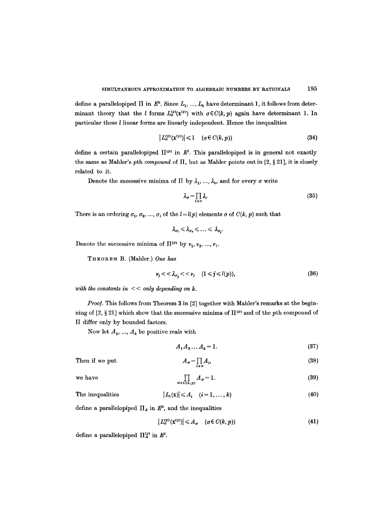define a parallelopiped  $\Pi$  in  $E^k$ . Since  $L_1, ..., L_k$  have determinant 1, it follows from determinant theory that the *l* forms  $L_{\sigma}^{(p)}(x^{(p)})$  with  $\sigma \in C(k, p)$  again have determinant 1. In particular these l linear forms are linearly independent. Hence the inequalities

$$
|L_{\sigma}^{(p)}(\mathbf{x}^{(p)})| \leq 1 \quad (\sigma \in C(k, p)) \tag{34}
$$

define a certain parallelopiped  $\Pi^{(p)}$  in  $E^l$ . This parallelopiped is in general not exactly the same as Mahler's pth *compound* of  $\Pi$ , but as Mahler points out in  $[2, §21]$ , it is closely related to it.

Denote the successive minima of  $\Pi$  by  $\lambda_1, ..., \lambda_k$ , and for every  $\sigma$  write

$$
\lambda_{\sigma} = \prod_{i \in \sigma} \lambda_i. \tag{35}
$$

There is an ordering  $\sigma_1, \sigma_2, ..., \sigma_l$  of the  $l=l(p)$  elements  $\sigma$  of  $C(k, p)$  such that

$$
\lambda_{\sigma_1}\leqslant\lambda_{\sigma_2}\leqslant\ldots\leqslant\,\lambda_{\sigma_1}
$$

Denote the successive minima of  $\Pi^{(p)}$  by  $v_1, v_2, ..., v_t$ .

THEOREM B. (Mahler.) *One has* 

$$
\nu_j \lt \lt \lambda_{\sigma_i} \lt \lt \nu_j \quad (1 \leq j \leq l(p)), \tag{36}
$$

with the constants in  $<<$  only depending on k.

*Proof.* This follows from Theorem 3 in [2] together with Mahler's remarks at the beginning of [2, § 21] which show that the successive minima of  $\Pi^{(p)}$  and of the pth compound of II differ only by bounded factors.

Now let  $A_1, ..., A_k$  be positive reals with

$$
A_1 A_2 \dots A_k = 1. \tag{37}
$$

Then if we put 
$$
A_{\sigma} = \prod_{i \in \sigma} A_i
$$
, (38)

we have 
$$
\prod_{\sigma \in C(k,p)} A_{\sigma} = 1.
$$
 (39)

The inequalities 
$$
|L_i(\mathbf{x})| \leq A_i \quad (i=1,\ldots,k)
$$
 (40)

define a parallelopiped  $\Pi_A$  in  $E^k$ , and the inequalities

$$
\left| L_{\sigma}^{(p)}(\mathbf{x}^{(p)}) \right| \leqslant A_{\sigma} \quad (\sigma \in C(k, p)) \tag{41}
$$

define a parallelopiped  $\Pi_A^{(p)}$  in  $E^l$ .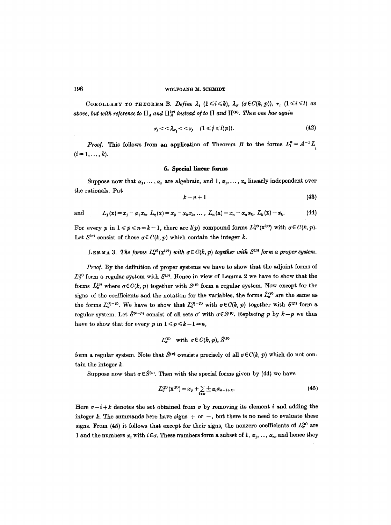COROLLARY TO THEOREM B. *Define*  $\lambda_i$   $(1 \leq i \leq k)$ ,  $\lambda_{\sigma}$   $(\sigma \in C(k, p))$ ,  $\nu_i$   $(1 \leq i \leq l)$  as *above, but with reference to*  $\prod_{A}$  and  $\prod_{A}^{(p)}$  instead of to  $\Pi$  and  $\Pi^{(p)}$ . Then one has again

$$
\nu_j \lt \lt \lambda_{\sigma_i} \lt \lt \nu_j \quad (1 \leq j \leq l(p)). \tag{42}
$$

*Proof.* This follows from an application of Theorem B to the forms  $L_i^* = A^{-1}L_i$  $(i = 1, \ldots, k).$ 

#### **6. Special linear forms**

Suppose now that  $\alpha_1, \ldots, \alpha_n$  are algebraic, and 1,  $\alpha_1, \ldots, \alpha_n$  linearly independent over the rationals. Put

$$
k=n+1 \tag{43}
$$

and 
$$
L_1(\mathbf{x}) = x_1 - \alpha_1 x_k, L_2(\mathbf{x}) = x_2 - \alpha_2 x_k, \dots, L_n(\mathbf{x}) = x_n - \alpha_n x_k, L_k(\mathbf{x}) = x_k.
$$
 (44)

For every p in  $1 \leq p \leq n = k - 1$ , there are  $l(p)$  compound forms  $L_{\sigma}^{(p)}(\mathbf{x}^{(p)})$  with  $\sigma \in C(k, p)$ . Let  $S^{(p)}$  consist of those  $q \in C(k, p)$  which contain the integer k.

LEMMA 3. The forms  $L_{\sigma}^{(v)}(\mathbf{x}^{(v)})$  with  $\sigma \in C(k, p)$  together with  $S^{(v)}$  form a proper system.

*Proo/.* By the definition of proper systems we have to show that the adjoint forms of  $L_{\sigma}^{(p)}$  form a regular system with  $S^{(p)}$ . Hence in view of Lemma 2 we have to show that the forms  $\hat{L}_{\sigma}^{(p)}$  where  $\sigma \in C(k, p)$  together with  $S^{(p)}$  form a regular system. Now except for the signs of the coefficients and the notation for the variables, the forms  $\hat{L}_{\sigma}^{(p)}$  are the same as the forms  $L_{\sigma}^{(k-p)}$ . We have to show that  $L_{\sigma}^{(h-p)}$  with  $\sigma \in C(k, p)$  together with  $S^{(p)}$  form a regular system. Let  $\hat{S}^{(k-p)}$  consist of all sets  $\sigma'$  with  $\sigma \in S^{(p)}$ . Replacing p by  $k-p$  we thus have to show that for every p in  $1 \leq p \leq k-1-n$ ,

$$
L_{\sigma}^{(p)} \quad \text{with} \ \sigma \in C(k, p), \mathcal{S}^{(p)}
$$

form a regular system. Note that  $S^{(p)}$  consists precisely of all  $\sigma \in C(k, p)$  which do not contain the integer  $k$ .

Suppose now that  $\sigma \in \hat{S}^{(p)}$ . Then with the special forms given by (44) we have

$$
L_{\sigma}^{(p)}(\mathbf{x}^{(p)})=x_{\sigma}+\sum_{i\in\sigma}\pm\alpha_{i}x_{\sigma-i+k}.\tag{45}
$$

Here  $\sigma-i+k$  denotes the set obtained from  $\sigma$  by removing its element i and adding the integer k. The summands here have signs  $+$  or  $-$ , but there is no need to evaluate these signs. From (45) it follows that except for their signs, the nonzero coefficients of  $L_{\sigma}^{(p)}$  are 1 and the numbers  $\alpha_i$  with  $i \in \sigma$ . These numbers form a subset of 1,  $\alpha_1, ..., \alpha_n$ , and hence they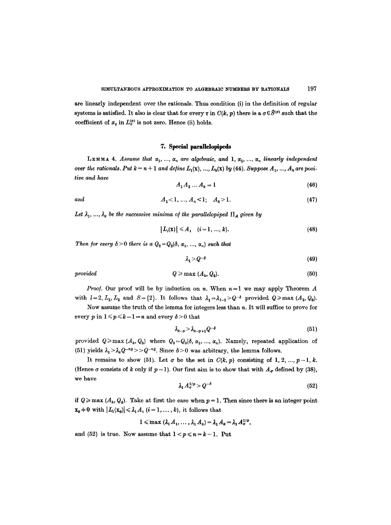are linearly independent over the rationals. Thus condition (i) in the definition of regular systems is satisfied. It also is clear that for every  $\tau$  in  $C(k, p)$  there is a  $\sigma \in \hat{S}^{(p)}$  such that the coefficient of  $x_{\tau}$  in  $L^{(p)}_{\sigma}$  is not zero. Hence (ii) holds.

#### **7. Special parallelopipeds**

**LEMMA 4.** Assume that  $\alpha_1, \ldots, \alpha_n$  are algebraic, and **1**,  $\alpha_1, \ldots, \alpha_n$  linearly independent *over the rationals. Put*  $k = n + 1$  *and define*  $L_1(\mathbf{x})$ , ...,  $L_k(\mathbf{x})$  *by (44). Suppose*  $A_1, ..., A_k$  are posi $tive$  and have

$$
A_1 A_2 ... A_k = 1 \tag{46}
$$

*and*  $A_1 < 1, ..., A_n < 1; A_k > 1.$  (47)

Let  $\lambda_1, ..., \lambda_k$  be the successive minima of the parallelopiped  $\Pi_A$  given by

$$
|L_i(\mathbf{x})| \leq A_i \quad (i=1,\ldots,k). \tag{48}
$$

*Then for every*  $\delta > 0$  *there is a*  $Q_2 = Q_2(\delta, \alpha_1, ..., \alpha_n)$  *such that* 

$$
\lambda_1 > Q^{-\delta} \tag{49}
$$

$$
provided \t Q \ge \max (A_k, Q_2). \t (50)
$$

*Proof.* Our proof will be by induction on n. When  $n = 1$  we may apply Theorem A with  $l=2, L_1, L_2$  and  $S=\{2\}$ . It follows that  $\lambda_1=\lambda_{l-1}>Q^{-\delta}$  provided  $Q\geqslant \max (A_2, Q_0)$ .

Now assume the truth of the lemma for integers less than  $n$ . It will suffice to prove for every p in  $1 \leq p \leq k-1 = n$  and every  $\delta > 0$  that

$$
\lambda_{k-p} > \lambda_{k-p+1} Q^{-\delta} \tag{51}
$$

provided  $Q \ge \max (A_k, Q_3)$  where  $Q_3 = Q_3(\delta, \alpha_1, ..., \alpha_n)$ . Namely, repeated application of (51) yields  $\lambda_1 > \lambda_k Q^{-n\delta} > Q^{-n\delta}$ . Since  $\delta > 0$  was arbitrary, the lemma follows.

It remains to show (51). Let  $\sigma$  be the set in  $C(k, p)$  consisting of 1, 2, ...,  $p-1, k$ . (Hence  $\sigma$  consists of k only if  $p = 1$ ). Our first aim is to show that with  $A_{\sigma}$  defined by (38), we have

$$
\lambda_1 A_{\sigma}^{1/p} > Q^{-\delta} \tag{52}
$$

if  $Q \ge \max (A_k, Q_4)$ . Take at first the case when  $p = 1$ . Then since there is an integer point  $\mathbf{x}_0 \neq 0$  with  $|L_i(\mathbf{x}_0)| \leq \lambda_1 A_i$  (i = 1, ..., k), it follows that

$$
1 \leqslant \max (\lambda_1 A_1, \ldots, \lambda_1 A_k) = \lambda_1 A_k = \lambda_1 A_{\sigma}^{1/p},
$$

and (52) is true. Now assume that  $1 < p \le n = k - 1$ . Put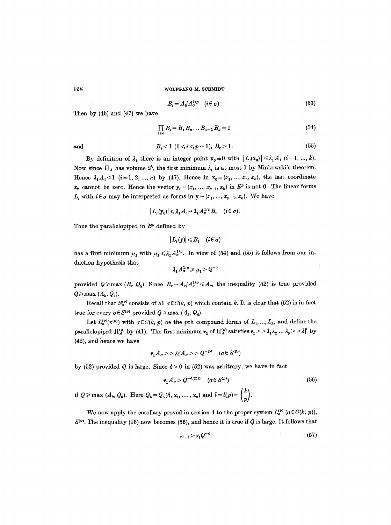$$
B_i = A_i / A_{\sigma}^{1/p} \quad (i \in \sigma).
$$
 (53)

Then by (46) and (47) we have

$$
\prod_{i \in \sigma} B_i = B_1 B_2 \dots B_{p-1} B_k = 1 \tag{54}
$$

and

198

$$
B_i < 1 \ (1 \le i \le p-1), \ B_k > 1. \tag{55}
$$

By definition of  $\lambda_1$  there is an integer point  $\mathbf{x_0} \neq \mathbf{0}$  with  $|L_i(\mathbf{x_0})| \leq \lambda_1 A_i$   $(i=1, ..., k)$ . Now since  $\Pi_A$  has volume  $2^k$ , the first minimum  $\lambda_1$  is at most 1 by Minkowski's theorem. Hence  $\lambda_1 A_i < 1$  (i=1, 2, ..., n) by (47). Hence in  $\mathbf{x}_0 = (x_1, ..., x_n, x_k)$ , the last coordinate  $x_k$  cannot be zero. Hence the vector  $y_0 = (x_1, ..., x_{p-1}, x_k)$  in  $E^p$  is not 0. The linear forms  $L_i$  with  $i \in \sigma$  may be interpreted as forms in  $y = (x_1, ..., x_{p-1}, x_k)$ . We have

$$
|L_i(\mathbf{y}_0)| \leq \lambda_1 A_i = \lambda_1 A_\sigma^{1/p} B_i \quad (i \in \sigma).
$$

Thus the parallelopiped in  $E^p$  defined by

$$
|L_i(\mathbf{y})| \leq B_i \quad (i \in \sigma)
$$

has a first minimum  $\mu_1$  with  $\mu_1 \leq \lambda_1 A_\sigma^{1/p}$ . In view of (54) and (55) it follows from our induction hypothesis that

$$
\lambda_1 A_\sigma^{1/p} \geqslant \mu_1 > Q^{-\delta}
$$

provided  $Q \ge \max (B_k, Q_5)$ . Since  $B_k = A_k / A_{\sigma}^{1/p} \le A_k$ , the inequality (52) is true provided  $Q \geq \max(A_k, Q_4).$ 

Recall that  $S_q^{(p)}$  consists of all  $\sigma \in C(k, p)$  which contain k. It is clear that (52) is in fact true for every  $\sigma \in S^{(p)}$  provided  $Q \ge \max (A_k, Q_k)$ .

Let  $L_{\sigma}^{(p)}(\mathbf{x}^{(p)})$  with  $\sigma \in C(k, p)$  be the pth compound forms of  $L_1, ..., L_k$ , and define the parallelopiped  $\Pi_A^{(p)}$  by (41). The first minimum  $\nu_1$  of  $\Pi_A^{(p)}$  satisfies  $\nu_1 >> \lambda_1 \lambda_2 ... \lambda_p >> \lambda_1^p$  by (42), and hence we have

$$
v_1 A_\sigma >> \lambda_1^p A_\sigma >> Q^{-p\delta} \quad (\sigma \in S^{(p)})
$$

by (52) provided Q is large. Since  $\delta > 0$  in (52) was arbitrary, we have in fact

$$
\nu_1 A_{\sigma} > Q^{-\delta/(2l)} \quad (\sigma \in S^{(p)}) \tag{56}
$$

if  $Q \ge \max (A_k, Q_6)$ . Here  $Q_6 = Q_6(\delta, \alpha_1, \ldots, \alpha_n)$  and  $l = l(p) = \binom{k}{p}$ .

We now apply the corollary proved in section 4 to the proper system  $L_{\sigma}^{(p)}$  ( $\sigma \in C(k, p)$ ),  $S^{(p)}$ . The inequality (16) now becomes (56), and hence it is true if Q is large. It follows that

$$
\nu_{i-1} > \nu_i Q^{-\delta} \tag{57}
$$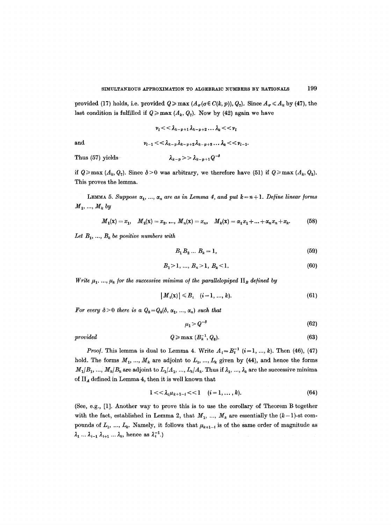provided (17) holds, i.e. provided  $Q \ge \max(A_{\sigma}(\sigma \in C(k, p)), Q_{7})$ . Since  $A_{\sigma} \le A_{k}$  by (47), the last condition is fulfilled if  $Q \ge \max(A_k, Q_7)$ . Now by (42) again we have

$$
\nu_{l} << \lambda_{k-p+1} \lambda_{k-p+2} \dots \lambda_{k} << \nu_{l}
$$
  
and  

$$
\nu_{l-1} << \lambda_{k-p} \lambda_{k-p+2} \lambda_{k-p+3} \dots \lambda_{k} << \nu_{l-1}.
$$
  
Thus (57) yields  

$$
\lambda_{k-p} >> \lambda_{k-p+1} Q^{-\delta}
$$

if  $Q \ge \max(A_k, Q_2)$ . Since  $\delta > 0$  was arbitrary, we therefore have (51) if  $Q \ge \max(A_k, Q_3)$ . This proves the lemma.

**LEMMA 5.** *Suppose*  $\alpha_1, ..., \alpha_n$  are as in Lemma 4, and put  $k = n + 1$ . Define linear forms  $M_1, \ldots, M_k$  by

$$
M_1(\mathbf{x}) = x_1, \quad M_2(\mathbf{x}) = x_2, \dots, \quad M_n(\mathbf{x}) = x_n, \quad M_k(\mathbf{x}) = \alpha_1 x_1 + \dots + \alpha_n x_n + x_k. \tag{58}
$$

Let  $B_1, \ldots, B_k$  be positive numbers with

$$
B_1 B_2 \dots B_k = 1,\tag{59}
$$

$$
B_1 > 1, \ldots, B_n > 1, \ B_k < 1. \tag{60}
$$

*Write*  $\mu_1, ..., \mu_k$  for the successive minima of the parallelopiped  $\Pi_B$  defined by

$$
|M_i(\mathbf{x})| \leq B_i \quad (i = 1, ..., k). \tag{61}
$$

For every  $\delta > 0$  there is a  $Q_8 = Q_8(\delta, \alpha_1, ..., \alpha_n)$  such that

$$
\mu_1 > Q^{-\delta} \tag{62}
$$

$$
provided \t Q \ge \max (B_k^{-1}, Q_8). \t (63)
$$

*Proof.* This lemma is dual to Lemma 4. Write  $A_i = B_i^{-1}$   $(i=1, ..., k)$ . Then (46), (47) hold. The forms  $M_1, ..., M_k$  are adjoint to  $L_1, ..., L_k$  given by (44), and hence the forms  $M_1/B_1, ..., M_k/B_k$  are adjoint to  $L_1/A_1, ..., L_k/A_k$ . Thus if  $\lambda_1, ..., \lambda_k$  are the successive minima of  $\Pi_A$  defined in Lemma 4, then it is well known that

$$
1 << \lambda_i \mu_{k+1-i} << 1 \quad (i = 1, ..., k). \tag{64}
$$

(See, e.g., [1]. Another way to prove this is to use the corollary of Theorem B together with the fact, established in Lemma 2, that  $M_1, ..., M_k$  are essentially the  $(k-1)$ -st compounds of  $L_1, ..., L_k$ . Namely, it follows that  $\mu_{k+1-i}$  is of the same order of magnitude as  $\lambda_1 \ldots \lambda_{i-1} \lambda_{i+1} \ldots \lambda_k$ , hence as  $\lambda_i^{-1}$ .)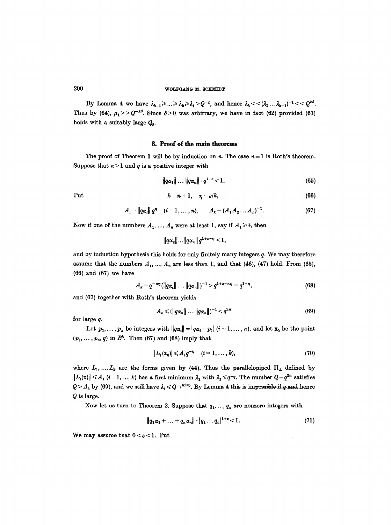By Lemma 4 we have  $\lambda_{k-1} \geqslant ... \geqslant \lambda_2 \geqslant \lambda_1 > Q^{-\delta}$ , and hence  $\lambda_k \lt \lt (\lambda_1 ... \lambda_{k-1})^{-1} \lt \lt Q^{k\delta}$ . Thus by (64),  $\mu_1>>Q^{-k\delta}$ . Since  $\delta>0$  was arbitrary, we have in fact (62) provided (63) holds with a suitably large  $Q_{\rm s}$ .

### **8. Proof of the main theorems**

The proof of Theorem 1 will be by induction on n. The case  $n = 1$  is Roth's theorem. Suppose that  $n > 1$  and q is a positive integer with

$$
\|q\alpha_1\| \dots \|q\alpha_n\| \cdot q^{1+\epsilon} < 1. \tag{65}
$$

Put 
$$
k = n + 1, \quad \eta = \varepsilon/k,
$$
 (66)

$$
A_i = ||q\alpha_i|| q^n \quad (i = 1, ..., n), \qquad A_k = (A_1 A_2 ... A_n)^{-1}.
$$
 (67)

Now if one of the numbers  $A_1, ..., A_n$  were at least 1, say if  $A_1 \geq 1$ , then

$$
||q\alpha_2||...||q\alpha_n||q^{1+s-\eta} < 1,
$$

and by induction hypothesis this holds for only finitely many integers q. We may therefore assume that the numbers  $A_1, ..., A_n$  are less than 1, and that (46), (47) hold. From (65), (66) and (67) we have

$$
A_k = q^{-n\eta} (\|q\alpha\| \dots \|q\alpha_n\|)^{-1} > q^{1+\epsilon-n\eta} = q^{1+\eta}, \qquad (68)
$$

and (67) together with Roth's theorem yields

$$
A_k \leq (\|q\alpha_n\| \dots \|q\alpha_n\|)^{-1} < q^{2n} \tag{69}
$$

for large q.

Let  $p_1, \ldots, p_n$  be integers with  $||q\alpha_i|| = |q\alpha_i - p_i|$   $(i = 1, \ldots, n)$ , and let  $\mathbf{x}_0$  be the point  $(p_1, \ldots, p_n, q)$  in  $E^k$ . Then (67) and (68) imply that

$$
|L_i(\mathbf{x}_0)| \leqslant A_i q^{-\eta} \quad (i = 1, \dots, k), \tag{70}
$$

where  $L_1, ..., L_k$  are the forms given by (44). Thus the parallelopiped  $\Pi_A$  defined by  $|L_i(x)| \leq A_i$   $(i = 1, ..., k)$  has a first minimum  $\lambda_1$  with  $\lambda_1 \leq q^{-\eta}$ . The number  $Q = q^{2n}$  satisfies  $Q > A_k$  by (69), and we still have  $\lambda_1 \leqslant Q^{-\eta/(2n)}$ . By Lemma 4 this is impossible if q and hence Q is large.

Now let us turn to Theorem 2. Suppose that  $q_1, ..., q_n$  are nonzero integers with

$$
||q_1\alpha_1 + \ldots + q_n\alpha_n|| \cdot |q_1 \ldots q_n|^{1+\epsilon} < 1. \tag{71}
$$

We may assume that  $0 < \varepsilon < 1$ . Put